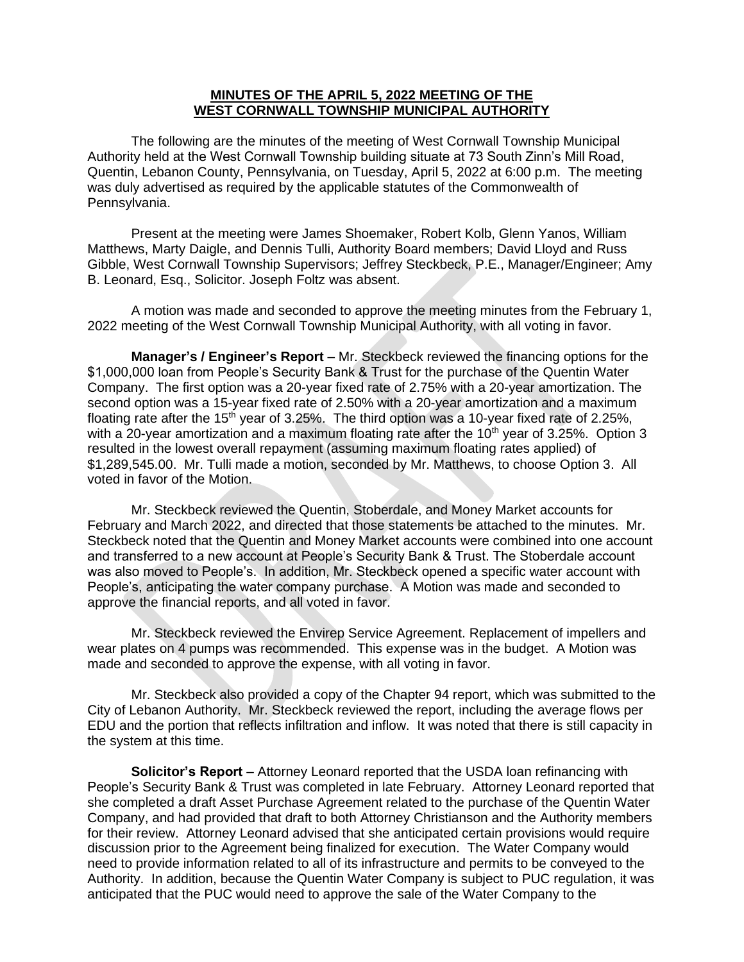## **MINUTES OF THE APRIL 5, 2022 MEETING OF THE WEST CORNWALL TOWNSHIP MUNICIPAL AUTHORITY**

The following are the minutes of the meeting of West Cornwall Township Municipal Authority held at the West Cornwall Township building situate at 73 South Zinn's Mill Road, Quentin, Lebanon County, Pennsylvania, on Tuesday, April 5, 2022 at 6:00 p.m. The meeting was duly advertised as required by the applicable statutes of the Commonwealth of Pennsylvania.

Present at the meeting were James Shoemaker, Robert Kolb, Glenn Yanos, William Matthews, Marty Daigle, and Dennis Tulli, Authority Board members; David Lloyd and Russ Gibble, West Cornwall Township Supervisors; Jeffrey Steckbeck, P.E., Manager/Engineer; Amy B. Leonard, Esq., Solicitor. Joseph Foltz was absent.

A motion was made and seconded to approve the meeting minutes from the February 1, 2022 meeting of the West Cornwall Township Municipal Authority, with all voting in favor.

**Manager's / Engineer's Report** – Mr. Steckbeck reviewed the financing options for the \$1,000,000 loan from People's Security Bank & Trust for the purchase of the Quentin Water Company. The first option was a 20-year fixed rate of 2.75% with a 20-year amortization. The second option was a 15-year fixed rate of 2.50% with a 20-year amortization and a maximum floating rate after the 15<sup>th</sup> year of 3.25%. The third option was a 10-year fixed rate of 2.25%, with a 20-year amortization and a maximum floating rate after the  $10<sup>th</sup>$  year of 3.25%. Option 3 resulted in the lowest overall repayment (assuming maximum floating rates applied) of \$1,289,545.00. Mr. Tulli made a motion, seconded by Mr. Matthews, to choose Option 3. All voted in favor of the Motion.

Mr. Steckbeck reviewed the Quentin, Stoberdale, and Money Market accounts for February and March 2022, and directed that those statements be attached to the minutes. Mr. Steckbeck noted that the Quentin and Money Market accounts were combined into one account and transferred to a new account at People's Security Bank & Trust. The Stoberdale account was also moved to People's. In addition, Mr. Steckbeck opened a specific water account with People's, anticipating the water company purchase. A Motion was made and seconded to approve the financial reports, and all voted in favor.

Mr. Steckbeck reviewed the Envirep Service Agreement. Replacement of impellers and wear plates on 4 pumps was recommended. This expense was in the budget. A Motion was made and seconded to approve the expense, with all voting in favor.

Mr. Steckbeck also provided a copy of the Chapter 94 report, which was submitted to the City of Lebanon Authority. Mr. Steckbeck reviewed the report, including the average flows per EDU and the portion that reflects infiltration and inflow. It was noted that there is still capacity in the system at this time.

**Solicitor's Report** – Attorney Leonard reported that the USDA loan refinancing with People's Security Bank & Trust was completed in late February. Attorney Leonard reported that she completed a draft Asset Purchase Agreement related to the purchase of the Quentin Water Company, and had provided that draft to both Attorney Christianson and the Authority members for their review. Attorney Leonard advised that she anticipated certain provisions would require discussion prior to the Agreement being finalized for execution. The Water Company would need to provide information related to all of its infrastructure and permits to be conveyed to the Authority. In addition, because the Quentin Water Company is subject to PUC regulation, it was anticipated that the PUC would need to approve the sale of the Water Company to the